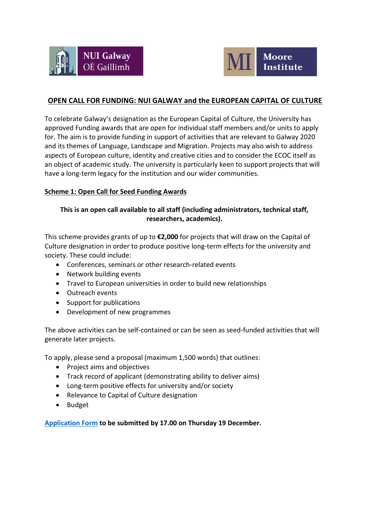



# **OPEN CALL FOR FUNDING: NUI GALWAY and the EUROPEAN CAPITAL OF CULTURE**

To celebrate Galway's designation as the European Capital of Culture, the University has approved Funding awards that are open for individual staff members and/or units to apply for. The aim is to provide funding in support of activities that are relevant to Galway 2020 and its themes of Language, Landscape and Migration. Projects may also wish to address aspects of European culture, identity and creative cities and to consider the ECOC itself as an object of academic study. The university is particularly keen to support projects that will have a long-term legacy for the institution and our wider communities.

#### **Scheme 1: Open Call for Seed Funding Awards**

#### **This is an open call available to all staff (including administrators, technical staff, researchers, academics).**

This scheme provides grants of up to **€2,000** for projects that will draw on the Capital of Culture designation in order to produce positive long-term effects for the university and society. These could include:

- Conferences, seminars or other research-related events
- Network building events
- Travel to European universities in order to build new relationships
- Outreach events
- Support for publications
- Development of new programmes

The above activities can be self-contained or can be seen as seed-funded activities that will generate later projects.

To apply, please send a proposal (maximum 1,500 words) that outlines:

- Project aims and objectives
- Track record of applicant (demonstrating ability to deliver aims)
- Long-term positive effects for university and/or society
- Relevance to Capital of Culture designation
- Budget

**[Application Form](https://forms.office.com/Pages/ResponsePage.aspx?id=hrHjE0bEq0qcbZq5u3aBbIASQn7Yw6RNkqSqVMKf4N1UQ0EyRElQS0RNMFk3TTBBVk5XWkFLSVlZRy4u) to be submitted by 17.00 on Thursday 19 December.**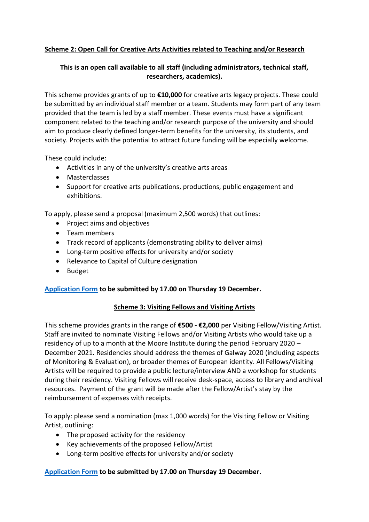# **Scheme 2: Open Call for Creative Arts Activities related to Teaching and/or Research**

## **This is an open call available to all staff (including administrators, technical staff, researchers, academics).**

This scheme provides grants of up to **€10,000** for creative arts legacy projects. These could be submitted by an individual staff member or a team. Students may form part of any team provided that the team is led by a staff member. These events must have a significant component related to the teaching and/or research purpose of the university and should aim to produce clearly defined longer-term benefits for the university, its students, and society. Projects with the potential to attract future funding will be especially welcome.

These could include:

- Activities in any of the university's creative arts areas
- Masterclasses
- Support for creative arts publications, productions, public engagement and exhibitions.

To apply, please send a proposal (maximum 2,500 words) that outlines:

- Project aims and objectives
- Team members
- Track record of applicants (demonstrating ability to deliver aims)
- Long-term positive effects for university and/or society
- Relevance to Capital of Culture designation
- Budget

### **[Application Form](https://forms.office.com/Pages/ResponsePage.aspx?id=hrHjE0bEq0qcbZq5u3aBbIASQn7Yw6RNkqSqVMKf4N1UM0JKWTZaTTJMOEZVNkZCMUgxRFJWNFk3NS4u) to be submitted by 17.00 on Thursday 19 December.**

### **Scheme 3: Visiting Fellows and Visiting Artists**

This scheme provides grants in the range of **€500 - €2,000** per Visiting Fellow/Visiting Artist. Staff are invited to nominate Visiting Fellows and/or Visiting Artists who would take up a residency of up to a month at the Moore Institute during the period February 2020 – December 2021. Residencies should address the themes of Galway 2020 (including aspects of Monitoring & Evaluation), or broader themes of European identity. All Fellows/Visiting Artists will be required to provide a public lecture/interview AND a workshop for students during their residency. Visiting Fellows will receive desk-space, access to library and archival resources. Payment of the grant will be made after the Fellow/Artist's stay by the reimbursement of expenses with receipts.

To apply: please send a nomination (max 1,000 words) for the Visiting Fellow or Visiting Artist, outlining:

- The proposed activity for the residency
- Key achievements of the proposed Fellow/Artist
- Long-term positive effects for university and/or society

# **[Application Form](https://forms.office.com/Pages/ResponsePage.aspx?id=hrHjE0bEq0qcbZq5u3aBbIASQn7Yw6RNkqSqVMKf4N1UMEw2STdVWlc4M1owNkc4UVJMWklCVlVYOC4u) to be submitted by 17.00 on Thursday 19 December.**